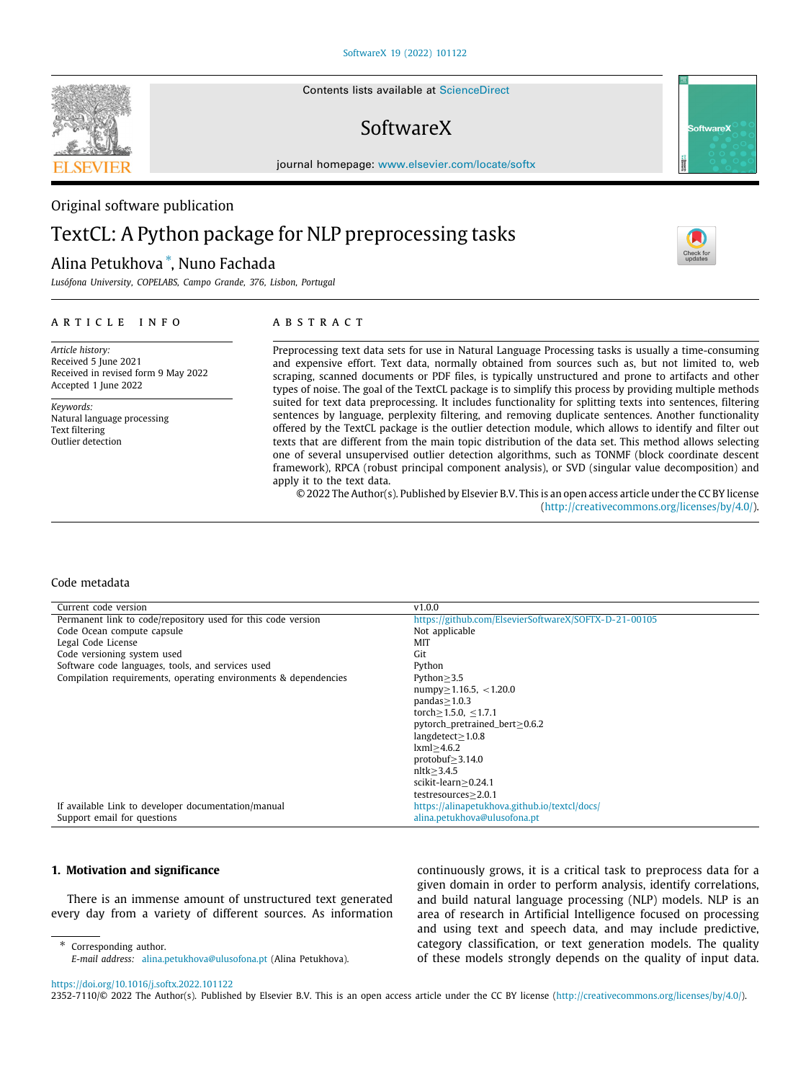Contents lists available at [ScienceDirect](http://www.elsevier.com/locate/softx)

# SoftwareX

journal homepage: [www.elsevier.com/locate/softx](http://www.elsevier.com/locate/softx)

## Original software publication

# TextCL: A Python package for NLP preprocessing tasks

# Alina Petukhova [∗](#page-0-0) , Nuno Fachada

*Lusófona University, COPELABS, Campo Grande, 376, Lisbon, Portugal*

### a r t i c l e i n f o

*Article history:* Received 5 June 2021 Received in revised form 9 May 2022 Accepted 1 June 2022

*Keywords:* Natural language processing Text filtering Outlier detection

#### A B S T R A C T

Preprocessing text data sets for use in Natural Language Processing tasks is usually a time-consuming and expensive effort. Text data, normally obtained from sources such as, but not limited to, web scraping, scanned documents or PDF files, is typically unstructured and prone to artifacts and other types of noise. The goal of the TextCL package is to simplify this process by providing multiple methods suited for text data preprocessing. It includes functionality for splitting texts into sentences, filtering sentences by language, perplexity filtering, and removing duplicate sentences. Another functionality offered by the TextCL package is the outlier detection module, which allows to identify and filter out texts that are different from the main topic distribution of the data set. This method allows selecting one of several unsupervised outlier detection algorithms, such as TONMF (block coordinate descent framework), RPCA (robust principal component analysis), or SVD (singular value decomposition) and apply it to the text data.

© 2022 The Author(s). Published by Elsevier B.V. This is an open access article under the CC BY license [\(http://creativecommons.org/licenses/by/4.0/](http://creativecommons.org/licenses/by/4.0/)).

#### Code metadata

| Current code version                                            | V1.0.0                                                |
|-----------------------------------------------------------------|-------------------------------------------------------|
| Permanent link to code/repository used for this code version    | https://github.com/ElsevierSoftwareX/SOFTX-D-21-00105 |
| Code Ocean compute capsule                                      | Not applicable                                        |
| Legal Code License                                              | MIT                                                   |
| Code versioning system used                                     | Git                                                   |
| Software code languages, tools, and services used               | Python                                                |
| Compilation requirements, operating environments & dependencies | Python $>3.5$                                         |
|                                                                 | numpy $>$ 1.16.5, <1.20.0                             |
|                                                                 | pandas $>1.0.3$                                       |
|                                                                 | torch $>$ 1.5.0, < 1.7.1                              |
|                                                                 | pytorch_pretrained_bert>0.6.2                         |
|                                                                 | languageect>1.0.8                                     |
|                                                                 | $\text{lxml} > 4.6.2$                                 |
|                                                                 | protobuf $>3.14.0$                                    |
|                                                                 | nltk > 3.4.5                                          |
|                                                                 | scikit-learn>0.24.1                                   |
|                                                                 | testresources>2.0.1                                   |
| If available Link to developer documentation/manual             | https://alinapetukhova.github.io/textcl/docs/         |
| Support email for questions                                     | alina.petukhova@ulusofona.pt                          |

#### **1. Motivation and significance**

There is an immense amount of unstructured text generated every day from a variety of different sources. As information

<span id="page-0-0"></span>Corresponding author. *E-mail address:* [alina.petukhova@ulusofona.pt](mailto:alina.petukhova@ulusofona.pt) (Alina Petukhova). continuously grows, it is a critical task to preprocess data for a given domain in order to perform analysis, identify correlations, and build natural language processing (NLP) models. NLP is an area of research in Artificial Intelligence focused on processing and using text and speech data, and may include predictive, category classification, or text generation models. The quality of these models strongly depends on the quality of input data.

#### <https://doi.org/10.1016/j.softx.2022.101122>

2352-7110/© 2022 The Author(s). Published by Elsevier B.V. This is an open access article under the CC BY license ([http://creativecommons.org/licenses/by/4.0/\)](http://creativecommons.org/licenses/by/4.0/).





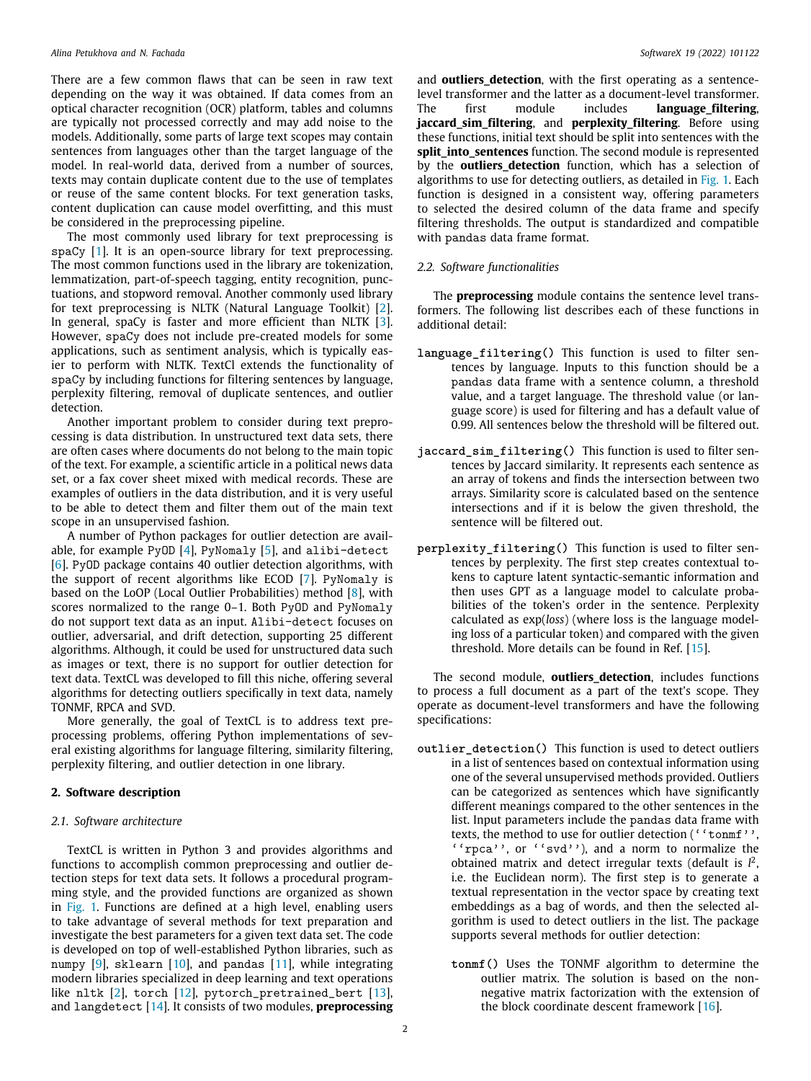There are a few common flaws that can be seen in raw text depending on the way it was obtained. If data comes from an optical character recognition (OCR) platform, tables and columns are typically not processed correctly and may add noise to the models. Additionally, some parts of large text scopes may contain sentences from languages other than the target language of the model. In real-world data, derived from a number of sources, texts may contain duplicate content due to the use of templates or reuse of the same content blocks. For text generation tasks, content duplication can cause model overfitting, and this must be considered in the preprocessing pipeline.

The most commonly used library for text preprocessing is spaCy [\[1\]](#page-5-0). It is an open-source library for text preprocessing. The most common functions used in the library are tokenization, lemmatization, part-of-speech tagging, entity recognition, punctuations, and stopword removal. Another commonly used library for text preprocessing is NLTK (Natural Language Toolkit) [[2\]](#page-5-1). In general, spaCy is faster and more efficient than NLTK [[3\]](#page-5-2). However, spaCy does not include pre-created models for some applications, such as sentiment analysis, which is typically easier to perform with NLTK. TextCl extends the functionality of spaCy by including functions for filtering sentences by language, perplexity filtering, removal of duplicate sentences, and outlier detection.

Another important problem to consider during text preprocessing is data distribution. In unstructured text data sets, there are often cases where documents do not belong to the main topic of the text. For example, a scientific article in a political news data set, or a fax cover sheet mixed with medical records. These are examples of outliers in the data distribution, and it is very useful to be able to detect them and filter them out of the main text scope in an unsupervised fashion.

A number of Python packages for outlier detection are available, for example PyOD [[4\]](#page-5-3), PyNomaly [\[5](#page-5-4)], and alibi-detect [[6](#page-5-5)]. PyOD package contains 40 outlier detection algorithms, with the support of recent algorithms like ECOD [\[7\]](#page-5-6). PyNomaly is based on the LoOP (Local Outlier Probabilities) method [\[8](#page-5-7)], with scores normalized to the range 0–1. Both PyOD and PyNomaly do not support text data as an input. Alibi-detect focuses on outlier, adversarial, and drift detection, supporting 25 different algorithms. Although, it could be used for unstructured data such as images or text, there is no support for outlier detection for text data. TextCL was developed to fill this niche, offering several algorithms for detecting outliers specifically in text data, namely TONMF, RPCA and SVD.

More generally, the goal of TextCL is to address text preprocessing problems, offering Python implementations of several existing algorithms for language filtering, similarity filtering, perplexity filtering, and outlier detection in one library.

#### **2. Software description**

#### *2.1. Software architecture*

TextCL is written in Python 3 and provides algorithms and functions to accomplish common preprocessing and outlier detection steps for text data sets. It follows a procedural programming style, and the provided functions are organized as shown in [Fig.](#page-2-0) [1](#page-2-0). Functions are defined at a high level, enabling users to take advantage of several methods for text preparation and investigate the best parameters for a given text data set. The code is developed on top of well-established Python libraries, such as numpy [\[9\]](#page-5-8), sklearn [[10\]](#page-5-9), and pandas [[11](#page-5-10)], while integrating modern libraries specialized in deep learning and text operations like nltk [[2\]](#page-5-1), torch [\[12\]](#page-5-11), pytorch\_pretrained\_bert [\[13\]](#page-5-12), and langdetect [\[14\]](#page-5-13). It consists of two modules, **preprocessing**

and **outliers detection**, with the first operating as a sentencelevel transformer and the latter as a document-level transformer. The first module includes **language filtering**, **jaccard sim filtering**, and **perplexity filtering**. Before using these functions, initial text should be split into sentences with the split into sentences function. The second module is represented by the **outliers detection** function, which has a selection of algorithms to use for detecting outliers, as detailed in [Fig.](#page-2-0) [1](#page-2-0). Each function is designed in a consistent way, offering parameters to selected the desired column of the data frame and specify filtering thresholds. The output is standardized and compatible with pandas data frame format.

### *2.2. Software functionalities*

The **preprocessing** module contains the sentence level transformers. The following list describes each of these functions in additional detail:

- **language\_filtering()** This function is used to filter sentences by language. Inputs to this function should be a pandas data frame with a sentence column, a threshold value, and a target language. The threshold value (or language score) is used for filtering and has a default value of 0.99. All sentences below the threshold will be filtered out.
- **jaccard\_sim\_filtering()** This function is used to filter sentences by Jaccard similarity. It represents each sentence as an array of tokens and finds the intersection between two arrays. Similarity score is calculated based on the sentence intersections and if it is below the given threshold, the sentence will be filtered out.
- **perplexity\_filtering()** This function is used to filter sentences by perplexity. The first step creates contextual tokens to capture latent syntactic-semantic information and then uses GPT as a language model to calculate probabilities of the token's order in the sentence. Perplexity calculated as exp(*loss*) (where loss is the language modeling loss of a particular token) and compared with the given threshold. More details can be found in Ref. [\[15\]](#page-5-14).

The second module, **outliers detection**, includes functions to process a full document as a part of the text's scope. They operate as document-level transformers and have the following specifications:

- **outlier\_detection()** This function is used to detect outliers in a list of sentences based on contextual information using one of the several unsupervised methods provided. Outliers can be categorized as sentences which have significantly different meanings compared to the other sentences in the list. Input parameters include the pandas data frame with texts, the method to use for outlier detection ('tonmf'', ''rpca'', or ''svd''), and a norm to normalize the obtained matrix and detect irregular texts (default is  $l^2$ , i.e. the Euclidean norm). The first step is to generate a textual representation in the vector space by creating text embeddings as a bag of words, and then the selected algorithm is used to detect outliers in the list. The package supports several methods for outlier detection:
	- **tonmf()** Uses the TONMF algorithm to determine the outlier matrix. The solution is based on the nonnegative matrix factorization with the extension of the block coordinate descent framework  $[16]$  $[16]$ .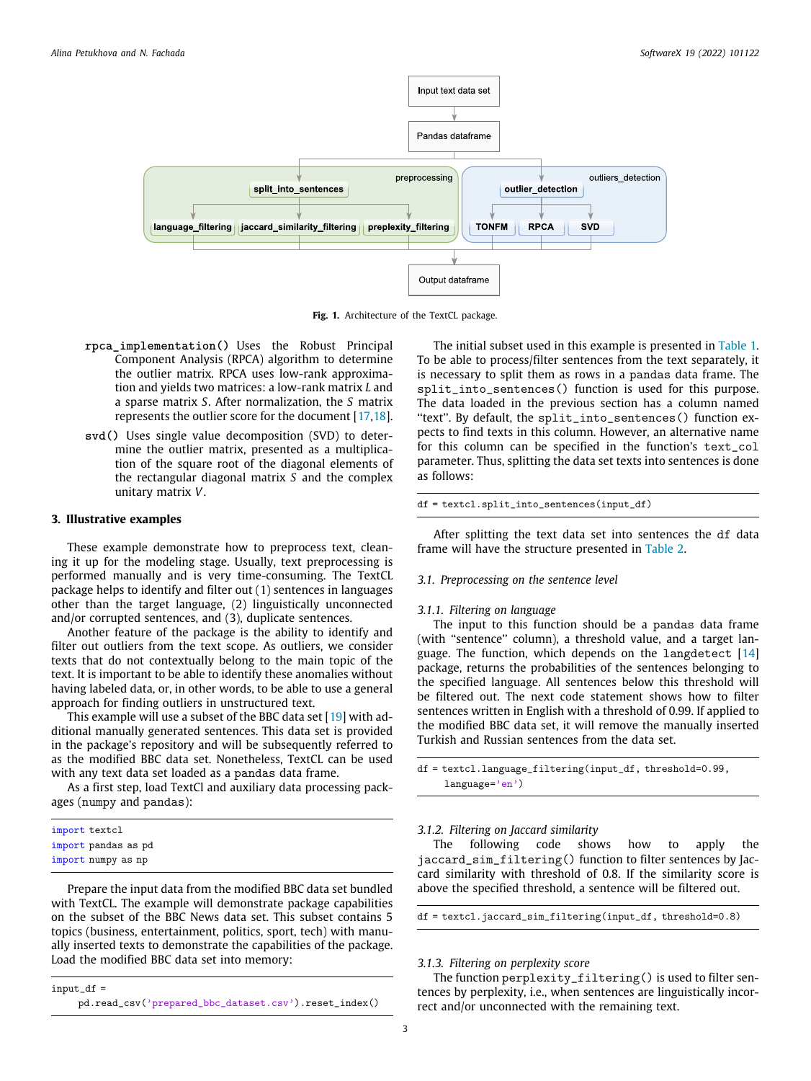

**Fig. 1.** Architecture of the TextCL package.

- <span id="page-2-0"></span>**rpca\_implementation()** Uses the Robust Principal Component Analysis (RPCA) algorithm to determine the outlier matrix. RPCA uses low-rank approximation and yields two matrices: a low-rank matrix *L* and a sparse matrix *S*. After normalization, the *S* matrix represents the outlier score for the document [[17](#page-5-16)[,18\]](#page-5-17).
- **svd()** Uses single value decomposition (SVD) to determine the outlier matrix, presented as a multiplication of the square root of the diagonal elements of the rectangular diagonal matrix *S* and the complex unitary matrix *V*.

#### **3. Illustrative examples**

These example demonstrate how to preprocess text, cleaning it up for the modeling stage. Usually, text preprocessing is performed manually and is very time-consuming. The TextCL package helps to identify and filter out (1) sentences in languages other than the target language, (2) linguistically unconnected and/or corrupted sentences, and (3), duplicate sentences.

Another feature of the package is the ability to identify and filter out outliers from the text scope. As outliers, we consider texts that do not contextually belong to the main topic of the text. It is important to be able to identify these anomalies without having labeled data, or, in other words, to be able to use a general approach for finding outliers in unstructured text.

This example will use a subset of the BBC data set [[19](#page-5-18)] with additional manually generated sentences. This data set is provided in the package's repository and will be subsequently referred to as the modified BBC data set. Nonetheless, TextCL can be used with any text data set loaded as a pandas data frame.

As a first step, load TextCl and auxiliary data processing packages (numpy and pandas):

import textcl import pandas as pd import numpy as np

Prepare the input data from the modified BBC data set bundled with TextCL. The example will demonstrate package capabilities on the subset of the BBC News data set. This subset contains 5 topics (business, entertainment, politics, sport, tech) with manually inserted texts to demonstrate the capabilities of the package. Load the modified BBC data set into memory:

input\_df = pd.read\_csv('prepared\_bbc\_dataset.csv').reset\_index()

The initial subset used in this example is presented in [Table](#page-3-0) [1.](#page-3-0) To be able to process/filter sentences from the text separately, it is necessary to split them as rows in a pandas data frame. The split\_into\_sentences() function is used for this purpose. The data loaded in the previous section has a column named ''text''. By default, the split\_into\_sentences() function expects to find texts in this column. However, an alternative name for this column can be specified in the function's text\_col parameter. Thus, splitting the data set texts into sentences is done as follows:

df = textcl.split\_into\_sentences(input\_df)

After splitting the text data set into sentences the df data frame will have the structure presented in [Table](#page-3-1) [2](#page-3-1).

*3.1. Preprocessing on the sentence level*

#### *3.1.1. Filtering on language*

The input to this function should be a pandas data frame (with "sentence" column), a threshold value, and a target language. The function, which depends on the langdetect [\[14\]](#page-5-13) package, returns the probabilities of the sentences belonging to the specified language. All sentences below this threshold will be filtered out. The next code statement shows how to filter sentences written in English with a threshold of 0.99. If applied to the modified BBC data set, it will remove the manually inserted Turkish and Russian sentences from the data set.

df = textcl.language\_filtering(input\_df, threshold=0.99, language='en')

#### *3.1.2. Filtering on Jaccard similarity*

The following code shows how to apply the jaccard\_sim\_filtering() function to filter sentences by Jaccard similarity with threshold of 0.8. If the similarity score is above the specified threshold, a sentence will be filtered out.

df = textcl.jaccard\_sim\_filtering(input\_df, threshold=0.8)

#### *3.1.3. Filtering on perplexity score*

The function perplexity\_filtering() is used to filter sentences by perplexity, i.e., when sentences are linguistically incorrect and/or unconnected with the remaining text.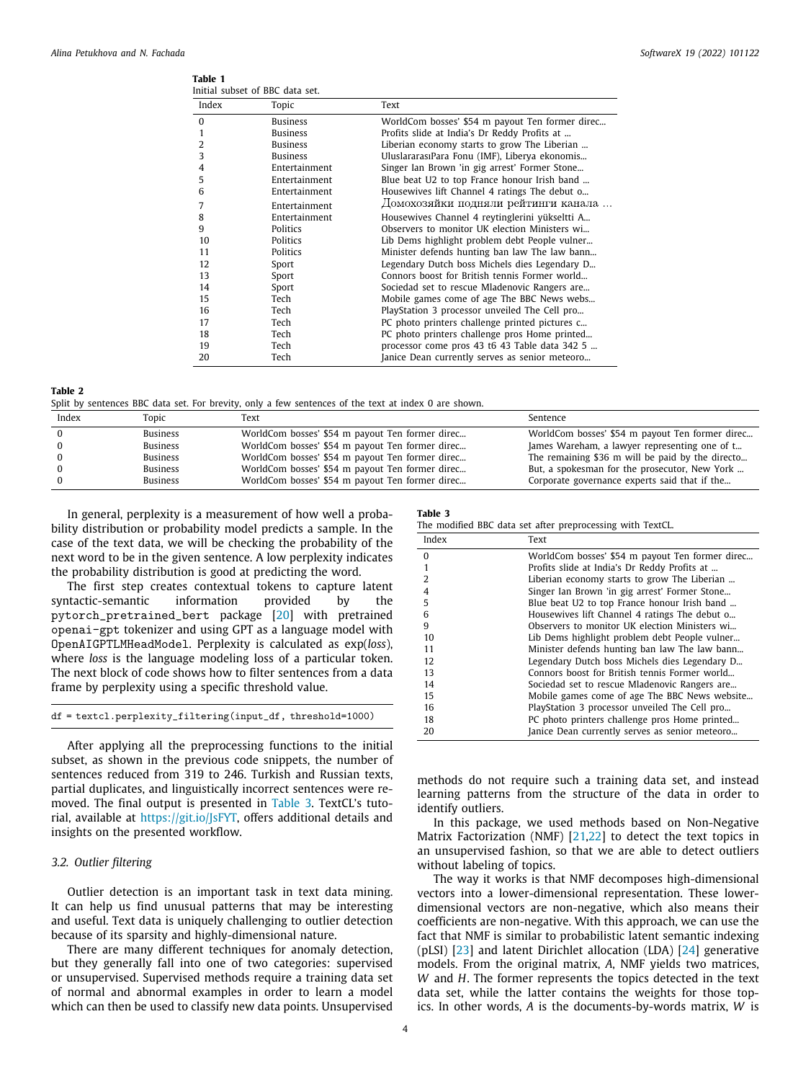**Table 1**

<span id="page-3-0"></span>

| rabie i<br>Initial subset of BBC data set. |                 |                                                 |  |  |
|--------------------------------------------|-----------------|-------------------------------------------------|--|--|
| Index                                      | Topic           | Text                                            |  |  |
| $\mathbf 0$                                | <b>Business</b> | WorldCom bosses' \$54 m payout Ten former direc |  |  |
| 1                                          | <b>Business</b> | Profits slide at India's Dr Reddy Profits at    |  |  |
| $\overline{2}$                             | <b>Business</b> | Liberian economy starts to grow The Liberian    |  |  |
| 3                                          | <b>Business</b> | UluslararasıPara Fonu (IMF), Liberya ekonomis   |  |  |
| 4                                          | Entertainment   | Singer Ian Brown 'in gig arrest' Former Stone   |  |  |
| 5                                          | Entertainment   | Blue beat U2 to top France honour Irish band    |  |  |
| 6                                          | Entertainment   | Housewives lift Channel 4 ratings The debut o   |  |  |
| 7                                          | Entertainment   | Домохозяйки подняли рейтинги канала             |  |  |
| 8                                          | Entertainment   | Housewives Channel 4 reytinglerini yükseltti A  |  |  |
| 9                                          | Politics        | Observers to monitor UK election Ministers wi   |  |  |
| 10                                         | Politics        | Lib Dems highlight problem debt People vulner   |  |  |
| 11                                         | Politics        | Minister defends hunting ban law The law bann   |  |  |
| 12                                         | Sport           | Legendary Dutch boss Michels dies Legendary D   |  |  |
| 13                                         | Sport           | Connors boost for British tennis Former world   |  |  |
| 14                                         | Sport           | Sociedad set to rescue Mladenovic Rangers are   |  |  |
| 15                                         | Tech            | Mobile games come of age The BBC News webs      |  |  |
| 16                                         | Tech            | PlayStation 3 processor unveiled The Cell pro   |  |  |
| 17                                         | Tech            | PC photo printers challenge printed pictures c  |  |  |
| 18                                         | Tech            | PC photo printers challenge pros Home printed   |  |  |
| 19                                         | Tech            | processor come pros 43 t6 43 Table data 342 5   |  |  |
| 20                                         | Tech            | Janice Dean currently serves as senior meteoro  |  |  |

#### **Table 2**

<span id="page-3-1"></span>Split by sentences BBC data set. For brevity, only a few sentences of the text at index 0 are shown.

| Index | Topic           | Text                                            | Sentence                                         |
|-------|-----------------|-------------------------------------------------|--------------------------------------------------|
|       | <b>Business</b> | WorldCom bosses' \$54 m payout Ten former direc | WorldCom bosses' \$54 m payout Ten former direc  |
|       | <b>Business</b> | WorldCom bosses' \$54 m payout Ten former direc | James Wareham, a lawyer representing one of t    |
|       | <b>Business</b> | WorldCom bosses' \$54 m payout Ten former direc | The remaining \$36 m will be paid by the directo |
|       | <b>Business</b> | WorldCom bosses' \$54 m payout Ten former direc | But, a spokesman for the prosecutor, New York    |
|       | <b>Business</b> | WorldCom bosses' \$54 m payout Ten former direc | Corporate governance experts said that if the    |

In general, perplexity is a measurement of how well a probability distribution or probability model predicts a sample. In the case of the text data, we will be checking the probability of the next word to be in the given sentence. A low perplexity indicates the probability distribution is good at predicting the word.

The first step creates contextual tokens to capture latent syntactic-semantic information provided by the pytorch\_pretrained\_bert package [\[20\]](#page-5-19) with pretrained openai-gpt tokenizer and using GPT as a language model with OpenAIGPTLMHeadModel. Perplexity is calculated as exp(*loss*), where *loss* is the language modeling loss of a particular token. The next block of code shows how to filter sentences from a data frame by perplexity using a specific threshold value.

|  |  |  | df = textcl.perplexity_filtering(input_df, threshold=1000) |
|--|--|--|------------------------------------------------------------|
|--|--|--|------------------------------------------------------------|

After applying all the preprocessing functions to the initial subset, as shown in the previous code snippets, the number of sentences reduced from 319 to 246. Turkish and Russian texts, partial duplicates, and linguistically incorrect sentences were removed. The final output is presented in [Table](#page-3-2) [3.](#page-3-2) TextCL's tutorial, available at <https://git.io/JsFYT>, offers additional details and insights on the presented workflow.

#### *3.2. Outlier filtering*

Outlier detection is an important task in text data mining. It can help us find unusual patterns that may be interesting and useful. Text data is uniquely challenging to outlier detection because of its sparsity and highly-dimensional nature.

There are many different techniques for anomaly detection, but they generally fall into one of two categories: supervised or unsupervised. Supervised methods require a training data set of normal and abnormal examples in order to learn a model which can then be used to classify new data points. Unsupervised

**Table 3**

<span id="page-3-2"></span>The modified BBC data set after preprocessing with TextCL.

| Index          | Text                                            |
|----------------|-------------------------------------------------|
| $\Omega$       | WorldCom bosses' \$54 m payout Ten former direc |
|                | Profits slide at India's Dr Reddy Profits at    |
| $\mathcal{D}$  | Liberian economy starts to grow The Liberian    |
| $\overline{4}$ | Singer Ian Brown 'in gig arrest' Former Stone   |
| 5              | Blue beat U2 to top France honour Irish band    |
| 6              | Housewives lift Channel 4 ratings The debut o   |
| 9              | Observers to monitor UK election Ministers wi   |
| 10             | Lib Dems highlight problem debt People vulner   |
| 11             | Minister defends hunting ban law The law bann   |
| 12             | Legendary Dutch boss Michels dies Legendary D   |
| 13             | Connors boost for British tennis Former world   |
| 14             | Sociedad set to rescue Mladenovic Rangers are   |
| 15             | Mobile games come of age The BBC News website   |
| 16             | PlayStation 3 processor unveiled The Cell pro   |
| 18             | PC photo printers challenge pros Home printed   |
| 20             | Janice Dean currently serves as senior meteoro  |

methods do not require such a training data set, and instead learning patterns from the structure of the data in order to identify outliers.

In this package, we used methods based on Non-Negative Matrix Factorization (NMF) [[21](#page-5-20)[,22\]](#page-5-21) to detect the text topics in an unsupervised fashion, so that we are able to detect outliers without labeling of topics.

The way it works is that NMF decomposes high-dimensional vectors into a lower-dimensional representation. These lowerdimensional vectors are non-negative, which also means their coefficients are non-negative. With this approach, we can use the fact that NMF is similar to probabilistic latent semantic indexing (pLSI) [\[23\]](#page-5-22) and latent Dirichlet allocation (LDA) [\[24\]](#page-5-23) generative models. From the original matrix, *A*, NMF yields two matrices, *W* and *H*. The former represents the topics detected in the text data set, while the latter contains the weights for those topics. In other words, *A* is the documents-by-words matrix, *W* is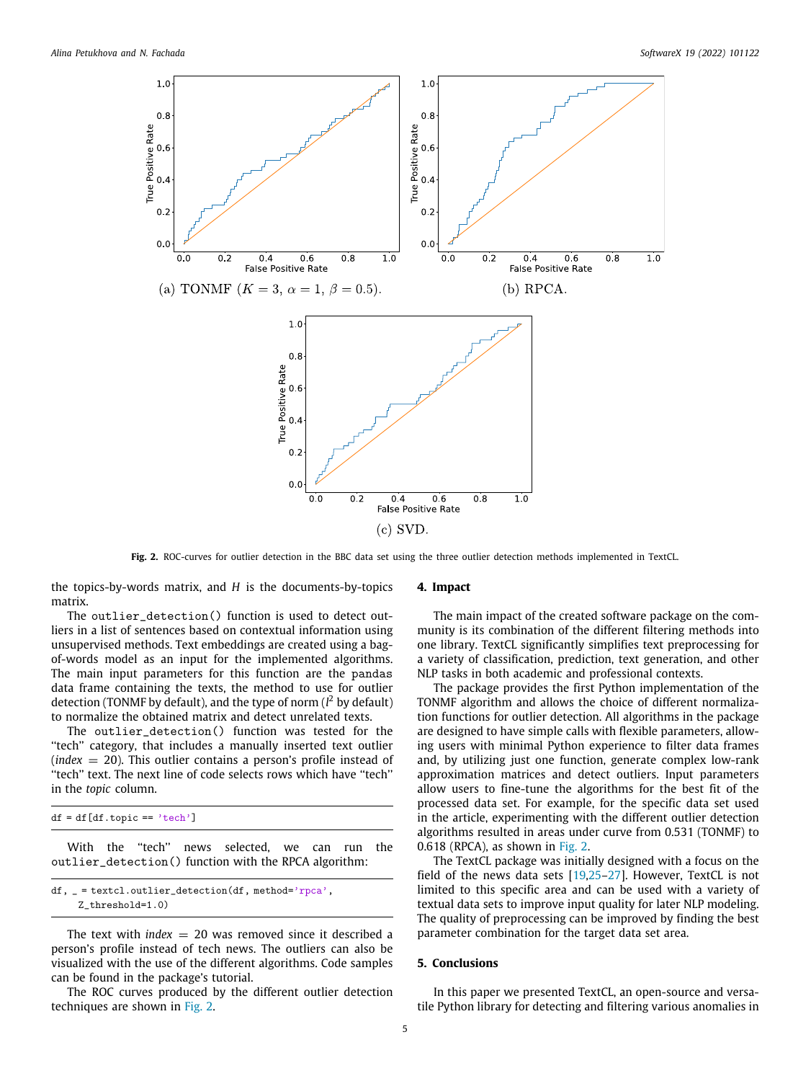

Fig. 2. ROC-curves for outlier detection in the BBC data set using the three outlier detection methods implemented in TextCL.

<span id="page-4-0"></span>the topics-by-words matrix, and *H* is the documents-by-topics matrix.

The outlier\_detection() function is used to detect outliers in a list of sentences based on contextual information using unsupervised methods. Text embeddings are created using a bagof-words model as an input for the implemented algorithms. The main input parameters for this function are the pandas data frame containing the texts, the method to use for outlier detection (TONMF by default), and the type of norm (*l* <sup>2</sup> by default) to normalize the obtained matrix and detect unrelated texts.

The outlier\_detection() function was tested for the "tech" category, that includes a manually inserted text outlier (*index* = 20). This outlier contains a person's profile instead of ''tech'' text. The next line of code selects rows which have ''tech'' in the *topic* column.

```
df = df [df.topic == 'tech']
```
With the "tech" news selected, we can run the outlier\_detection() function with the RPCA algorithm:

```
= = textcl.outlier_detection(df, method='rpca',
Z_threshold=1.0)
```
The text with  $index = 20$  was removed since it described a person's profile instead of tech news. The outliers can also be visualized with the use of the different algorithms. Code samples can be found in the package's tutorial.

The ROC curves produced by the different outlier detection techniques are shown in [Fig.](#page-4-0) [2](#page-4-0).

#### **4. Impact**

The main impact of the created software package on the community is its combination of the different filtering methods into one library. TextCL significantly simplifies text preprocessing for a variety of classification, prediction, text generation, and other NLP tasks in both academic and professional contexts.

The package provides the first Python implementation of the TONMF algorithm and allows the choice of different normalization functions for outlier detection. All algorithms in the package are designed to have simple calls with flexible parameters, allowing users with minimal Python experience to filter data frames and, by utilizing just one function, generate complex low-rank approximation matrices and detect outliers. Input parameters allow users to fine-tune the algorithms for the best fit of the processed data set. For example, for the specific data set used in the article, experimenting with the different outlier detection algorithms resulted in areas under curve from 0.531 (TONMF) to 0.618 (RPCA), as shown in [Fig.](#page-4-0) [2.](#page-4-0)

The TextCL package was initially designed with a focus on the field of the news data sets [[19](#page-5-18)[,25–](#page-5-24)[27](#page-5-25)]. However, TextCL is not limited to this specific area and can be used with a variety of textual data sets to improve input quality for later NLP modeling. The quality of preprocessing can be improved by finding the best parameter combination for the target data set area.

#### **5. Conclusions**

In this paper we presented TextCL, an open-source and versatile Python library for detecting and filtering various anomalies in